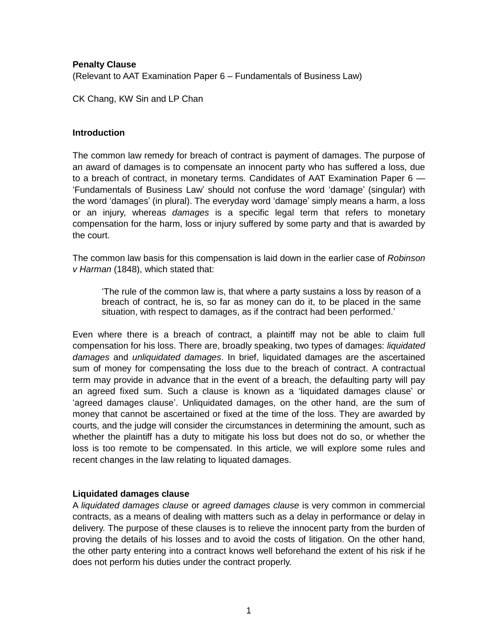# **Penalty Clause**

(Relevant to AAT Examination Paper 6 – Fundamentals of Business Law)

CK Chang, KW Sin and LP Chan

#### **Introduction**

The common law remedy for breach of contract is payment of damages. The purpose of an award of damages is to compensate an innocent party who has suffered a loss, due to a breach of contract, in monetary terms. Candidates of AAT Examination Paper 6 — 'Fundamentals of Business Law' should not confuse the word 'damage' (singular) with the word 'damages' (in plural). The everyday word 'damage' simply means a harm, a loss or an injury, whereas *damages* is a specific legal term that refers to monetary compensation for the harm, loss or injury suffered by some party and that is awarded by the court.

The common law basis for this compensation is laid down in the earlier case of *Robinson v Harman* (1848), which stated that:

'The rule of the common law is, that where a party sustains a loss by reason of a breach of contract, he is, so far as money can do it, to be placed in the same situation, with respect to damages, as if the contract had been performed.'

Even where there is a breach of contract, a plaintiff may not be able to claim full compensation for his loss. There are, broadly speaking, two types of damages: *liquidated damages* and *unliquidated damages*. In brief, liquidated damages are the ascertained sum of money for compensating the loss due to the breach of contract. A contractual term may provide in advance that in the event of a breach, the defaulting party will pay an agreed fixed sum. Such a clause is known as a 'liquidated damages clause' or 'agreed damages clause'. Unliquidated damages, on the other hand, are the sum of money that cannot be ascertained or fixed at the time of the loss. They are awarded by courts, and the judge will consider the circumstances in determining the amount, such as whether the plaintiff has a duty to mitigate his loss but does not do so, or whether the loss is too remote to be compensated. In this article, we will explore some rules and recent changes in the law relating to liquated damages.

# **Liquidated damages clause**

A *liquidated damages clause* or *agreed damages clause* is very common in commercial contracts, as a means of dealing with matters such as a delay in performance or delay in delivery. The purpose of these clauses is to relieve the innocent party from the burden of proving the details of his losses and to avoid the costs of litigation. On the other hand, the other party entering into a contract knows well beforehand the extent of his risk if he does not perform his duties under the contract properly.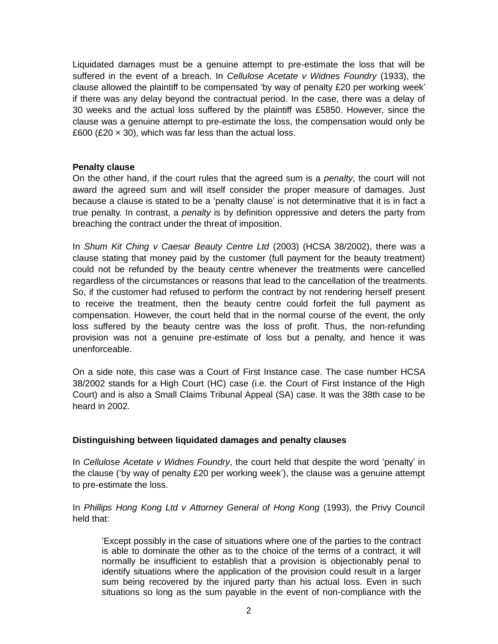Liquidated damages must be a genuine attempt to pre-estimate the loss that will be suffered in the event of a breach. In *Cellulose Acetate v Widnes Foundry* (1933), the clause allowed the plaintiff to be compensated 'by way of penalty £20 per working week' if there was any delay beyond the contractual period. In the case, there was a delay of 30 weeks and the actual loss suffered by the plaintiff was £5850. However, since the clause was a genuine attempt to pre-estimate the loss, the compensation would only be £600 (£20  $\times$  30), which was far less than the actual loss.

# **Penalty clause**

On the other hand, if the court rules that the agreed sum is a *penalty*, the court will not award the agreed sum and will itself consider the proper measure of damages. Just because a clause is stated to be a 'penalty clause' is not determinative that it is in fact a true penalty. In contrast, a *penalty* is by definition oppressive and deters the party from breaching the contract under the threat of imposition.

In *Shum Kit Ching v Caesar Beauty Centre Ltd* (2003) (HCSA 38/2002), there was a clause stating that money paid by the customer (full payment for the beauty treatment) could not be refunded by the beauty centre whenever the treatments were cancelled regardless of the circumstances or reasons that lead to the cancellation of the treatments. So, if the customer had refused to perform the contract by not rendering herself present to receive the treatment, then the beauty centre could forfeit the full payment as compensation. However, the court held that in the normal course of the event, the only loss suffered by the beauty centre was the loss of profit. Thus, the non-refunding provision was not a genuine pre-estimate of loss but a penalty, and hence it was unenforceable.

On a side note, this case was a Court of First Instance case. The case number HCSA 38/2002 stands for a High Court (HC) case (i.e. the Court of First Instance of the High Court) and is also a Small Claims Tribunal Appeal (SA) case. It was the 38th case to be heard in 2002.

#### **Distinguishing between liquidated damages and penalty clauses**

In *Cellulose Acetate v Widnes Foundry*, the court held that despite the word 'penalty' in the clause ('by way of penalty £20 per working week'), the clause was a genuine attempt to pre-estimate the loss.

In *Phillips Hong Kong Ltd v Attorney General of Hong Kong* (1993), the Privy Council held that:

'Except possibly in the case of situations where one of the parties to the contract is able to dominate the other as to the choice of the terms of a contract, it will normally be insufficient to establish that a provision is objectionably penal to identify situations where the application of the provision could result in a larger sum being recovered by the injured party than his actual loss. Even in such situations so long as the sum payable in the event of non-compliance with the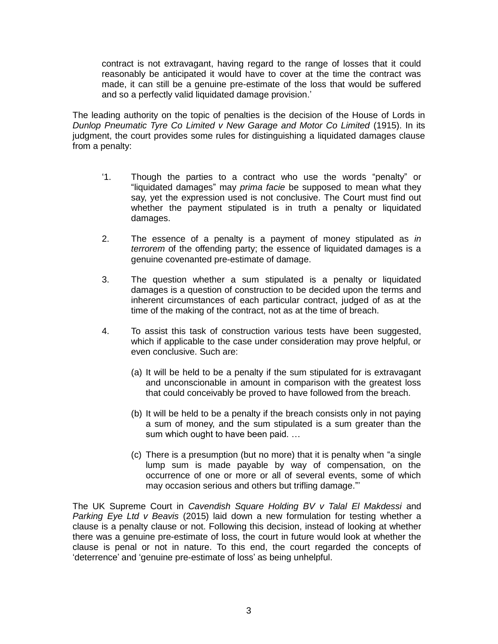contract is not extravagant, having regard to the range of losses that it could reasonably be anticipated it would have to cover at the time the contract was made, it can still be a genuine pre-estimate of the loss that would be suffered and so a perfectly valid liquidated damage provision.'

The leading authority on the topic of penalties is the decision of the House of Lords in *Dunlop Pneumatic Tyre Co Limited v New Garage and Motor Co Limited* (1915). In its judgment, the court provides some rules for distinguishing a liquidated damages clause from a penalty:

- '1. Though the parties to a contract who use the words "penalty" or "liquidated damages" may *prima facie* be supposed to mean what they say, yet the expression used is not conclusive. The Court must find out whether the payment stipulated is in truth a penalty or liquidated damages.
- 2. The essence of a penalty is a payment of money stipulated as *in terrorem* of the offending party; the essence of liquidated damages is a genuine covenanted pre-estimate of damage.
- 3. The question whether a sum stipulated is a penalty or liquidated damages is a question of construction to be decided upon the terms and inherent circumstances of each particular contract, judged of as at the time of the making of the contract, not as at the time of breach.
- 4. To assist this task of construction various tests have been suggested, which if applicable to the case under consideration may prove helpful, or even conclusive. Such are:
	- (a) It will be held to be a penalty if the sum stipulated for is extravagant and unconscionable in amount in comparison with the greatest loss that could conceivably be proved to have followed from the breach.
	- (b) It will be held to be a penalty if the breach consists only in not paying a sum of money, and the sum stipulated is a sum greater than the sum which ought to have been paid. …
	- (c) There is a presumption (but no more) that it is penalty when "a single lump sum is made payable by way of compensation, on the occurrence of one or more or all of several events, some of which may occasion serious and others but trifling damage."'

The UK Supreme Court in *Cavendish Square Holding BV v Talal El Makdessi* and *Parking Eye Ltd v Beavis* (2015) laid down a new formulation for testing whether a clause is a penalty clause or not. Following this decision, instead of looking at whether there was a genuine pre-estimate of loss, the court in future would look at whether the clause is penal or not in nature. To this end, the court regarded the concepts of 'deterrence' and 'genuine pre-estimate of loss' as being unhelpful.